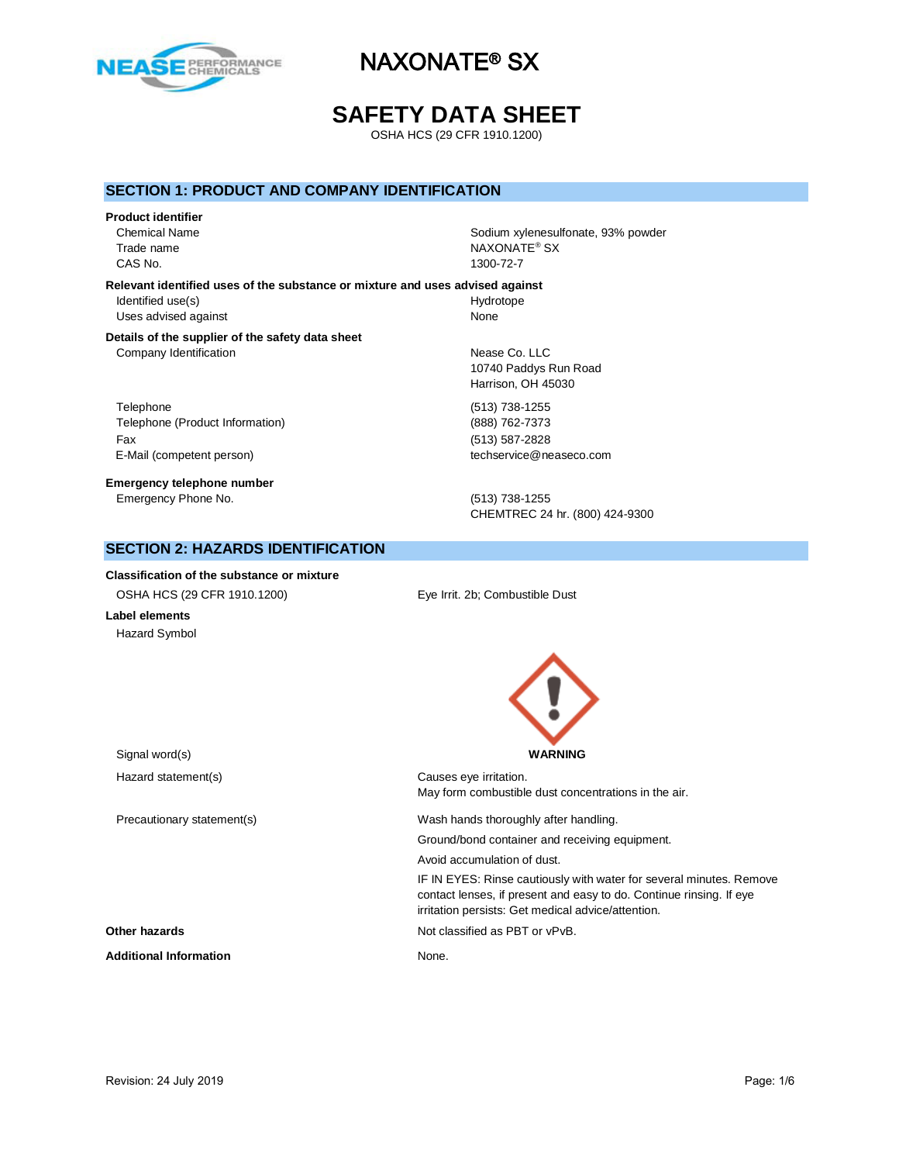

# **SAFETY DATA SHEET**

OSHA HCS (29 CFR 1910.1200)

#### **SECTION 1: PRODUCT AND COMPANY IDENTIFICATION**

#### **Product identifier**

CAS No. 1300-72-7

Chemical Name **Solid Americal Name** Sodium xylenesulfonate, 93% powder Trade name NAXONATE® SX

**Relevant identified uses of the substance or mixture and uses advised against** Identified use(s) and the extent of the Hydrotope Hydrotope Hydrotope Uses advised against None

#### **Details of the supplier of the safety data sheet** Company Identification **Nearly 19** Nease Co. LLC

Telephone (513) 738-1255 Telephone (Product Information) (888) 762-7373 Fax (513) 587-2828 E-Mail (competent person) example a second techservice@neaseco.com

**Emergency telephone number** Emergency Phone No. (513) 738-1255

10740 Paddys Run Road Harrison, OH 45030

CHEMTREC 24 hr. (800) 424-9300

### **SECTION 2: HAZARDS IDENTIFICATION**

**Classification of the substance or mixture** OSHA HCS (29 CFR 1910.1200) Eye Irrit. 2b; Combustible Dust **Label elements** Hazard Symbol

Signal word(s) **WARNING** Hazard statement(s) example a control control causes eye irritation. May form combustible dust concentrations in the air. Precautionary statement(s) Wash hands thoroughly after handling. Ground/bond container and receiving equipment. Avoid accumulation of dust. IF IN EYES: Rinse cautiously with water for several minutes. Remove contact lenses, if present and easy to do. Continue rinsing. If eye irritation persists: Get medical advice/attention. **Other hazards Other hazards Not classified as PBT or vPvB.** Additional Information **None.** None.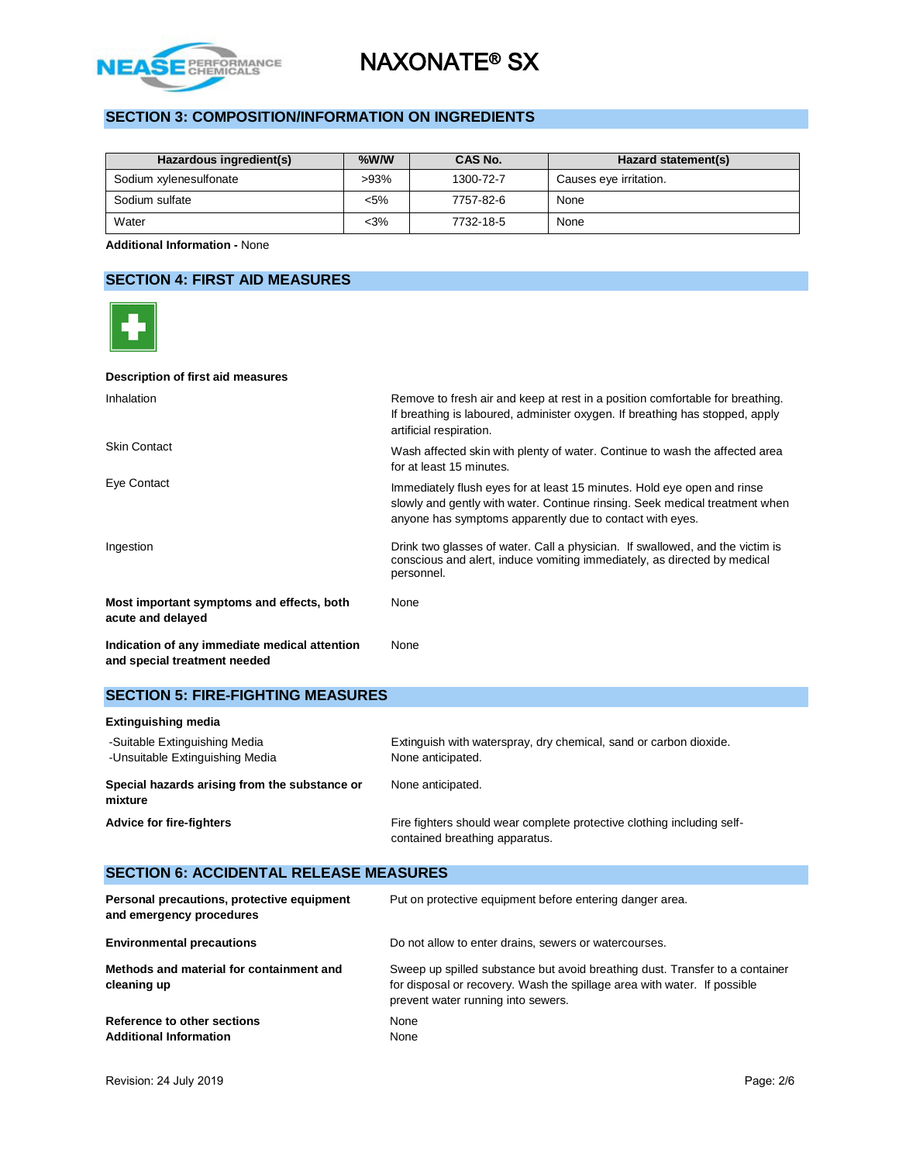

# **SECTION 3: COMPOSITION/INFORMATION ON INGREDIENTS**

| Hazardous ingredient(s) | $%$ W/W | CAS No.   | Hazard statement(s)    |
|-------------------------|---------|-----------|------------------------|
| Sodium xylenesulfonate  | $>93\%$ | 1300-72-7 | Causes eye irritation. |
| Sodium sulfate          | $< 5\%$ | 7757-82-6 | None                   |
| Water                   | $<$ 3%  | 7732-18-5 | None                   |

**Additional Information -** None

## **SECTION 4: FIRST AID MEASURES**

| Description of first aid measures                                             |                                                                                                                                                                                                                    |
|-------------------------------------------------------------------------------|--------------------------------------------------------------------------------------------------------------------------------------------------------------------------------------------------------------------|
| Inhalation                                                                    | Remove to fresh air and keep at rest in a position comfortable for breathing.<br>If breathing is laboured, administer oxygen. If breathing has stopped, apply<br>artificial respiration.                           |
| <b>Skin Contact</b>                                                           | Wash affected skin with plenty of water. Continue to wash the affected area<br>for at least 15 minutes.                                                                                                            |
| Eye Contact                                                                   | Immediately flush eyes for at least 15 minutes. Hold eye open and rinse<br>slowly and gently with water. Continue rinsing. Seek medical treatment when<br>anyone has symptoms apparently due to contact with eyes. |
| Ingestion                                                                     | Drink two glasses of water. Call a physician. If swallowed, and the victim is<br>conscious and alert, induce vomiting immediately, as directed by medical<br>personnel.                                            |
| Most important symptoms and effects, both<br>acute and delayed                | None                                                                                                                                                                                                               |
| Indication of any immediate medical attention<br>and special treatment needed | None                                                                                                                                                                                                               |

## **SECTION 5: FIRE-FIGHTING MEASURES**

| <b>Extinguishing media</b>                                       |                                                                                                          |  |  |
|------------------------------------------------------------------|----------------------------------------------------------------------------------------------------------|--|--|
| -Suitable Extinguishing Media<br>-Unsuitable Extinguishing Media | Extinguish with waterspray, dry chemical, sand or carbon dioxide.<br>None anticipated.                   |  |  |
| Special hazards arising from the substance or<br>mixture         | None anticipated.                                                                                        |  |  |
| <b>Advice for fire-fighters</b>                                  | Fire fighters should wear complete protective clothing including self-<br>contained breathing apparatus. |  |  |

# **SECTION 6: ACCIDENTAL RELEASE MEASURES**

| Personal precautions, protective equipment<br>and emergency procedures | Put on protective equipment before entering danger area.                                                                                                                                       |
|------------------------------------------------------------------------|------------------------------------------------------------------------------------------------------------------------------------------------------------------------------------------------|
| <b>Environmental precautions</b>                                       | Do not allow to enter drains, sewers or watercourses.                                                                                                                                          |
| Methods and material for containment and<br>cleaning up                | Sweep up spilled substance but avoid breathing dust. Transfer to a container<br>for disposal or recovery. Wash the spillage area with water. If possible<br>prevent water running into sewers. |
| Reference to other sections<br><b>Additional Information</b>           | None<br>None                                                                                                                                                                                   |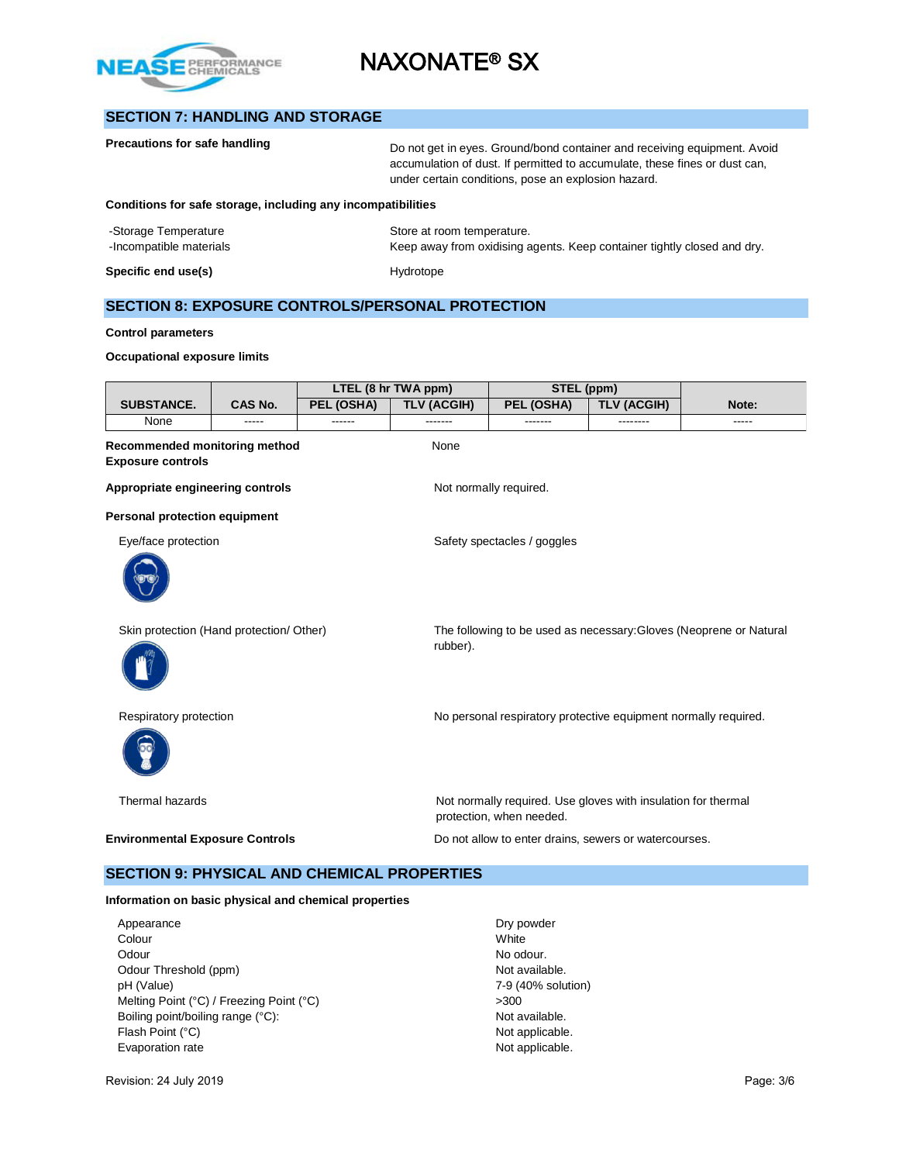

# **SECTION 7: HANDLING AND STORAGE**

| Precautions for safe handling                                | Do not get in eyes. Ground/bond container and receiving equipment. Avoid<br>accumulation of dust. If permitted to accumulate, these fines or dust can,<br>under certain conditions, pose an explosion hazard. |
|--------------------------------------------------------------|---------------------------------------------------------------------------------------------------------------------------------------------------------------------------------------------------------------|
| Conditions for safe storage, including any incompatibilities |                                                                                                                                                                                                               |
| -Storage Temperature                                         | Store at room temperature.                                                                                                                                                                                    |
| -Incompatible materials                                      | Keep away from oxidising agents. Keep container tightly closed and dry.                                                                                                                                       |
| Specific end use(s)                                          | Hydrotope                                                                                                                                                                                                     |

## **SECTION 8: EXPOSURE CONTROLS/PERSONAL PROTECTION**

#### **Control parameters**

#### **Occupational exposure limits**

|                                                                  |                |            | LTEL (8 hr TWA ppm) | STEL (ppm)                                                                                |                    |                                                                    |  |
|------------------------------------------------------------------|----------------|------------|---------------------|-------------------------------------------------------------------------------------------|--------------------|--------------------------------------------------------------------|--|
| <b>SUBSTANCE.</b>                                                | <b>CAS No.</b> | PEL (OSHA) | <b>TLV (ACGIH)</b>  | PEL (OSHA)                                                                                | <b>TLV (ACGIH)</b> | Note:                                                              |  |
| None                                                             |                |            |                     |                                                                                           |                    |                                                                    |  |
| <b>Recommended monitoring method</b><br><b>Exposure controls</b> |                |            | None                |                                                                                           |                    |                                                                    |  |
| Appropriate engineering controls                                 |                |            |                     | Not normally required.                                                                    |                    |                                                                    |  |
| <b>Personal protection equipment</b>                             |                |            |                     |                                                                                           |                    |                                                                    |  |
| Eye/face protection                                              |                |            |                     | Safety spectacles / goggles                                                               |                    |                                                                    |  |
|                                                                  |                |            |                     |                                                                                           |                    |                                                                    |  |
| Skin protection (Hand protection/ Other)                         |                |            | rubber).            |                                                                                           |                    | The following to be used as necessary: Gloves (Neoprene or Natural |  |
| Respiratory protection                                           |                |            |                     | No personal respiratory protective equipment normally required.                           |                    |                                                                    |  |
| Thermal hazards                                                  |                |            |                     | Not normally required. Use gloves with insulation for thermal<br>protection, when needed. |                    |                                                                    |  |
| <b>Environmental Exposure Controls</b>                           |                |            |                     | Do not allow to enter drains, sewers or watercourses.                                     |                    |                                                                    |  |
| <b>SECTION 9: PHYSICAL AND CHEMICAL PROPERTIES</b>               |                |            |                     |                                                                                           |                    |                                                                    |  |

#### **Information on basic physical and chemical properties**

Appearance Dry powder Colour Colour Colour Colour Dry powder Colour Colour Colour Colour Dry powder Colour Dry powder Colour White Odour No odour. Odour Threshold (ppm) Not available. pH (Value) 7-9 (40% solution) Melting Point (°C) / Freezing Point (°C)  $>300$ <br>Boiling point/boiling range (°C):  $\blacksquare$  Not available. Boiling point/boiling range (°C): Flash Point (°C) Not applicable. Evaporation rate **Not applicable**.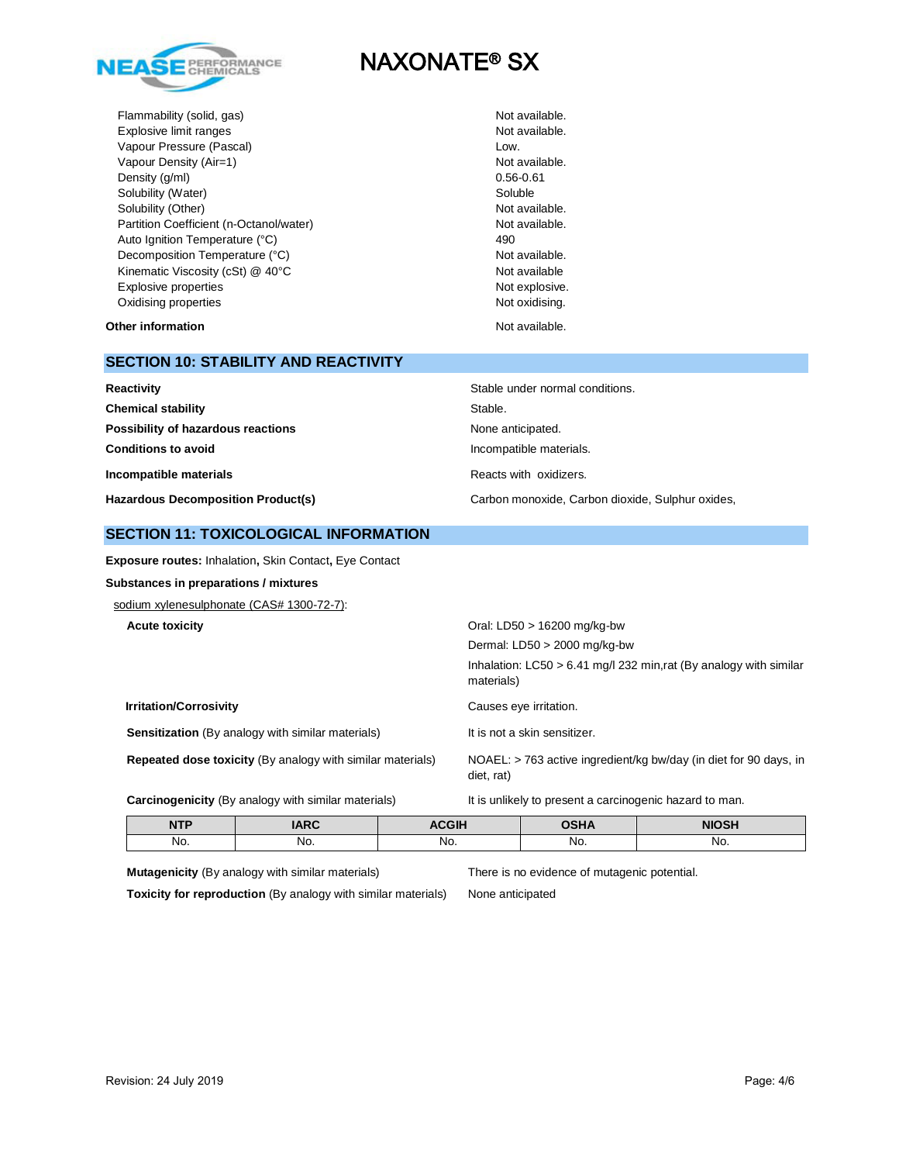

Flammability (solid, gas) The Contract of the Contract of the Not available. Explosive limit ranges **Not available**. Vapour Pressure (Pascal) and the contract of the Low. Vapour Density (Air=1) Not available. Density  $(g/ml)$  0.56-0.61 Solubility (Water) Soluble Solubility (Other) Not available. Partition Coefficient (n-Octanol/water) Not available. Auto Ignition Temperature (°C) 490 Decomposition Temperature (°C) Not available. Kinematic Viscosity (cSt) @ 40°C Not available Explosive properties Not explosive. Oxidising properties Not oxidising.

#### **Other information** Not available.

#### **SECTION 10: STABILITY AND REACTIVITY**

| Reactivity                                | Stable under normal conditions.                  |
|-------------------------------------------|--------------------------------------------------|
| <b>Chemical stability</b>                 | Stable.                                          |
| Possibility of hazardous reactions        | None anticipated.                                |
| <b>Conditions to avoid</b>                | Incompatible materials.                          |
| Incompatible materials                    | Reacts with oxidizers.                           |
| <b>Hazardous Decomposition Product(s)</b> | Carbon monoxide, Carbon dioxide, Sulphur oxides, |

#### **SECTION 11: TOXICOLOGICAL INFORMATION**

**Exposure routes:** Inhalation**,** Skin Contact**,** Eye Contact

**Substances in preparations / mixtures**

sodium xylenesulphonate (CAS# 1300-72-7):

|  | <b>Acute toxicity</b> |
|--|-----------------------|
|--|-----------------------|

|                                                                   | Dermal: $LD50 > 2000$ mg/kg-bw                                                    |
|-------------------------------------------------------------------|-----------------------------------------------------------------------------------|
|                                                                   | Inhalation: $LC50 > 6.41$ mg/l 232 min.rat (By analogy with similar<br>materials) |
| <b>Irritation/Corrosivity</b>                                     | Causes eye irritation.                                                            |
| <b>Sensitization</b> (By analogy with similar materials)          | It is not a skin sensitizer.                                                      |
| <b>Repeated dose toxicity (By analogy with similar materials)</b> | NOAEL: > 763 active ingredient/kg bw/day (in diet for 90 days, in<br>diet, rat)   |
| <b>Carcinogenicity</b> (By analogy with similar materials)        | It is unlikely to present a carcinogenic hazard to man.                           |

| $\overline{\phantom{a}}$<br> |     | $-11$ | .   | ᄭᅌᄓ |
|------------------------------|-----|-------|-----|-----|
| No.                          | No. | No.   | NO. | No. |

**Mutagenicity** (By analogy with similar materials) There is no evidence of mutagenic potential.

**Toxicity for reproduction** (By analogy with similar materials) None anticipated

**Acute toxicity** Oral: LD50 > 16200 mg/kg-bw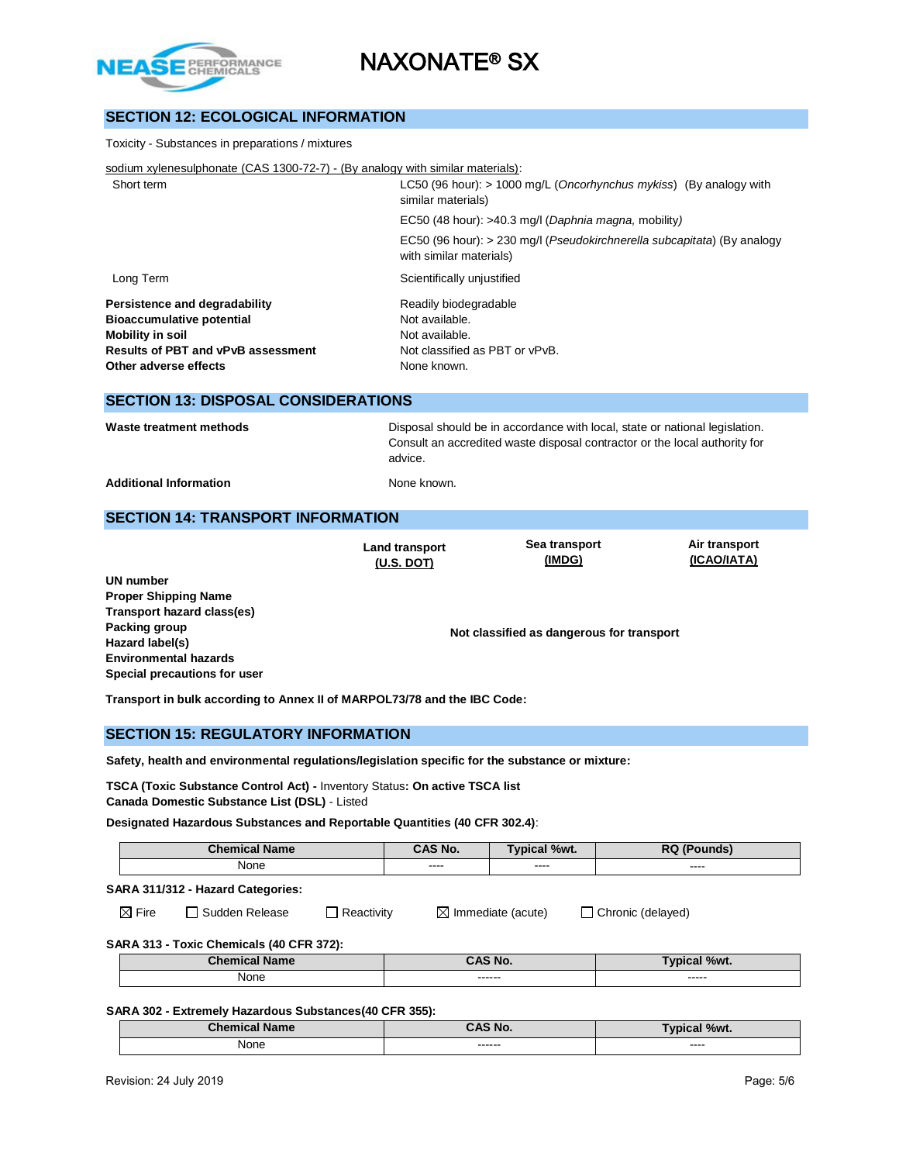

## **SECTION 12: ECOLOGICAL INFORMATION**

| Toxicity - Substances in preparations / mixtures                                                                                                                   |                                                                                                                                                                      |  |  |  |
|--------------------------------------------------------------------------------------------------------------------------------------------------------------------|----------------------------------------------------------------------------------------------------------------------------------------------------------------------|--|--|--|
| sodium xylenesulphonate (CAS 1300-72-7) - (By analogy with similar materials):                                                                                     |                                                                                                                                                                      |  |  |  |
| Short term                                                                                                                                                         | LC50 (96 hour): $> 1000$ mg/L ( <i>Oncorhynchus mykiss</i> ) (By analogy with<br>similar materials)                                                                  |  |  |  |
|                                                                                                                                                                    | EC50 (48 hour): >40.3 mg/l (Daphnia magna, mobility)                                                                                                                 |  |  |  |
|                                                                                                                                                                    | EC50 (96 hour): > 230 mg/l (Pseudokirchnerella subcapitata) (By analogy<br>with similar materials)                                                                   |  |  |  |
| Long Term                                                                                                                                                          | Scientifically unjustified                                                                                                                                           |  |  |  |
| Persistence and degradability<br><b>Bioaccumulative potential</b><br><b>Mobility in soil</b><br><b>Results of PBT and vPvB assessment</b><br>Other adverse effects | Readily biodegradable<br>Not available.<br>Not available.<br>Not classified as PBT or vPvB.<br>None known.                                                           |  |  |  |
| <b>SECTION 13: DISPOSAL CONSIDERATIONS</b>                                                                                                                         |                                                                                                                                                                      |  |  |  |
| Waste treatment methods                                                                                                                                            | Disposal should be in accordance with local, state or national legislation.<br>Consult an accredited waste disposal contractor or the local authority for<br>advice. |  |  |  |
| <b>Additional Information</b>                                                                                                                                      | None known.                                                                                                                                                          |  |  |  |

## **SECTION 14: TRANSPORT INFORMATION**

**Land transport (U.S. DOT)**

**Sea transport (IMDG)**

**Air transport (ICAO/IATA)**

**UN number Proper Shipping Name Transport hazard class(es) Packing group Hazard label(s) Environmental hazards Special precautions for user**

**Not classified as dangerous for transport**

**Transport in bulk according to Annex II of MARPOL73/78 and the IBC Code:** 

#### **SECTION 15: REGULATORY INFORMATION**

**Safety, health and environmental regulations/legislation specific for the substance or mixture:**

**TSCA (Toxic Substance Control Act) -** Inventory Status**: On active TSCA list**

**Canada Domestic Substance List (DSL)** - Listed

**Designated Hazardous Substances and Reportable Quantities (40 CFR 302.4)**:

| <b>Chemical Name</b> |                                   | CAS No.    | <b>Typical %wt.</b> | <b>RQ (Pounds)</b>            |                   |
|----------------------|-----------------------------------|------------|---------------------|-------------------------------|-------------------|
| None                 |                                   | $\cdots$   | $\frac{1}{2}$       | $\frac{1}{2}$                 |                   |
|                      | SARA 311/312 - Hazard Categories: |            |                     |                               |                   |
| $\boxtimes$ Fire     | l Sudden Release                  | Reactivity |                     | $\boxtimes$ Immediate (acute) | Chronic (delayed) |

#### **SARA 313 - Toxic Chemicals (40 CFR 372):**

| <b>DEL ANN</b><br>ıс         | N <sub>c</sub><br>`^C | 70WL.             |
|------------------------------|-----------------------|-------------------|
| None<br>$\sim$ $\sim$ $\sim$ | -------<br>--------   | ------<br>------- |

#### **SARA 302 - Extremely Hazardous Substances(40 CFR 355):**

| <b>Collection</b><br><b>Name</b> | $\sim$ AC No.       | %wt.<br>- ---<br>-01 |
|----------------------------------|---------------------|----------------------|
| None<br>$\sim$ $\sim$ $\sim$     | -------<br>-------- | ----<br>_____        |